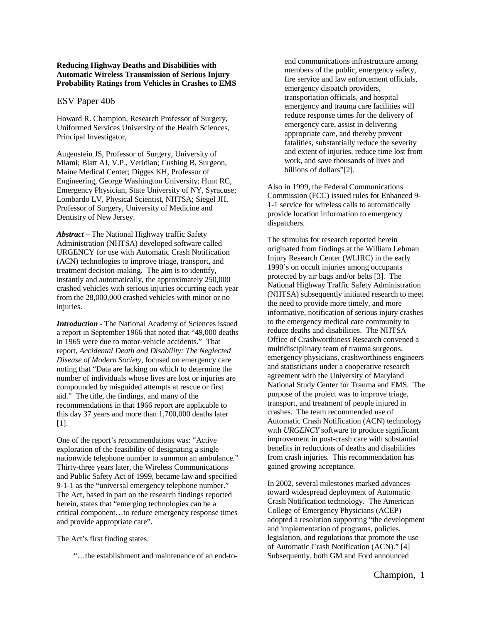## **Reducing Highway Deaths and Disabilities with Automatic Wireless Transmission of Serious Injury Probability Ratings from Vehicles in Crashes to EMS**

#### ESV Paper 406

Howard R. Champion, Research Professor of Surgery, Uniformed Services University of the Health Sciences, Principal Investigator,

Augenstein JS, Professor of Surgery, University of Miami; Blatt AJ, V.P., Veridian; Cushing B, Surgeon, Maine Medical Center; Digges KH, Professor of Engineering, George Washington University; Hunt RC, Emergency Physician, State University of NY, Syracuse; Lombardo LV, Physical Scientist, NHTSA; Siegel JH, Professor of Surgery, University of Medicine and Dentistry of New Jersey.

*Abstract –* The National Highway traffic Safety Administration (NHTSA) developed software called URGENCY for use with Automatic Crash Notification (ACN) technologies to improve triage, transport, and treatment decision-making. The aim is to identify, instantly and automatically, the approximately 250,000 crashed vehicles with serious injuries occurring each year from the 28,000,000 crashed vehicles with minor or no injuries.

*Introduction -* The National Academy of Sciences issued a report in September 1966 that noted that "49,000 deaths in 1965 were due to motor-vehicle accidents." That report, *Accidental Death and Disability: The Neglected Disease of Modern Society*, focused on emergency care noting that "Data are lacking on which to determine the number of individuals whose lives are lost or injuries are compounded by misguided attempts at rescue or first aid." The title, the findings, and many of the recommendations in that 1966 report are applicable to this day 37 years and more than 1,700,000 deaths later [1].

One of the report's recommendations was: "Active exploration of the feasibility of designating a single nationwide telephone number to summon an ambulance." Thirty-three years later, the Wireless Communications and Public Safety Act of 1999, became law and specified 9-1-1 as the "universal emergency telephone number." The Act, based in part on the research findings reported herein, states that "emerging technologies can be a critical component…to reduce emergency response times and provide appropriate care".

The Act's first finding states:

"…the establishment and maintenance of an end-to-

end communications infrastructure among members of the public, emergency safety, fire service and law enforcement officials, emergency dispatch providers, transportation officials, and hospital emergency and trauma care facilities will reduce response times for the delivery of emergency care, assist in delivering appropriate care, and thereby prevent fatalities, substantially reduce the severity and extent of injuries, reduce time lost from work, and save thousands of lives and billions of dollars"[2].

Also in 1999, the Federal Communications Commission (FCC) issued rules for Enhanced 9- 1-1 service for wireless calls to automatically provide location information to emergency dispatchers.

The stimulus for research reported herein originated from findings at the William Lehman Injury Research Center (WLIRC) in the early 1990's on occult injuries among occupants protected by air bags and/or belts [3]. The National Highway Traffic Safety Administration (NHTSA) subsequently initiated research to meet the need to provide more timely, and more informative, notification of serious injury crashes to the emergency medical care community to reduce deaths and disabilities. The NHTSA Office of Crashworthiness Research convened a multidisciplinary team of trauma surgeons, emergency physicians, crashworthiness engineers and statisticians under a cooperative research agreement with the University of Maryland National Study Center for Trauma and EMS. The purpose of the project was to improve triage, transport, and treatment of people injured in crashes. The team recommended use of Automatic Crash Notification (ACN) technology with *URGENCY* software to produce significant improvement in post-crash care with substantial benefits in reductions of deaths and disabilities from crash injuries. This recommendation has gained growing acceptance.

In 2002, several milestones marked advances toward widespread deployment of Automatic Crash Notification technology. The American College of Emergency Physicians (ACEP) adopted a resolution supporting "the development and implementation of programs, policies, legislation, and regulations that promote the use of Automatic Crash Notification (ACN)." [4] Subsequently, both GM and Ford announced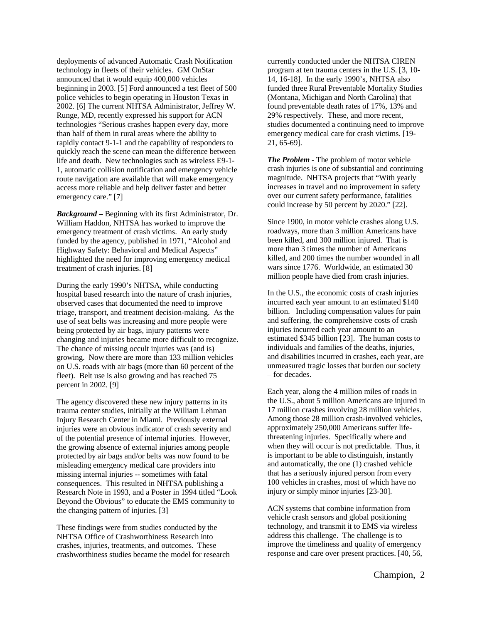deployments of advanced Automatic Crash Notification technology in fleets of their vehicles. GM OnStar announced that it would equip 400,000 vehicles beginning in 2003. [5] Ford announced a test fleet of 500 police vehicles to begin operating in Houston Texas in 2002. [6] The current NHTSA Administrator, Jeffrey W. Runge, MD, recently expressed his support for ACN technologies "Serious crashes happen every day, more than half of them in rural areas where the ability to rapidly contact 9-1-1 and the capability of responders to quickly reach the scene can mean the difference between life and death. New technologies such as wireless E9-1- 1, automatic collision notification and emergency vehicle route navigation are available that will make emergency access more reliable and help deliver faster and better emergency care." [7]

*Background –* Beginning with its first Administrator, Dr. William Haddon, NHTSA has worked to improve the emergency treatment of crash victims. An early study funded by the agency, published in 1971, "Alcohol and Highway Safety: Behavioral and Medical Aspects" highlighted the need for improving emergency medical treatment of crash injuries. [8]

During the early 1990's NHTSA, while conducting hospital based research into the nature of crash injuries, observed cases that documented the need to improve triage, transport, and treatment decision-making. As the use of seat belts was increasing and more people were being protected by air bags, injury patterns were changing and injuries became more difficult to recognize. The chance of missing occult injuries was (and is) growing. Now there are more than 133 million vehicles on U.S. roads with air bags (more than 60 percent of the fleet). Belt use is also growing and has reached 75 percent in 2002. [9]

The agency discovered these new injury patterns in its trauma center studies, initially at the William Lehman Injury Research Center in Miami. Previously external injuries were an obvious indicator of crash severity and of the potential presence of internal injuries. However, the growing absence of external injuries among people protected by air bags and/or belts was now found to be misleading emergency medical care providers into missing internal injuries -- sometimes with fatal consequences. This resulted in NHTSA publishing a Research Note in 1993, and a Poster in 1994 titled "Look Beyond the Obvious" to educate the EMS community to the changing pattern of injuries. [3]

These findings were from studies conducted by the NHTSA Office of Crashworthiness Research into crashes, injuries, treatments, and outcomes. These crashworthiness studies became the model for research currently conducted under the NHTSA CIREN program at ten trauma centers in the U.S. [3, 10- 14, 16-18]. In the early 1990's, NHTSA also funded three Rural Preventable Mortality Studies (Montana, Michigan and North Carolina) that found preventable death rates of 17%, 13% and 29% respectively. These, and more recent, studies documented a continuing need to improve emergency medical care for crash victims. [19- 21, 65-69].

*The Problem -* The problem of motor vehicle crash injuries is one of substantial and continuing magnitude. NHTSA projects that "With yearly increases in travel and no improvement in safety over our current safety performance, fatalities could increase by 50 percent by 2020." [22].

Since 1900, in motor vehicle crashes along U.S. roadways, more than 3 million Americans have been killed, and 300 million injured. That is more than 3 times the number of Americans killed, and 200 times the number wounded in all wars since 1776. Worldwide, an estimated 30 million people have died from crash injuries.

In the U.S., the economic costs of crash injuries incurred each year amount to an estimated \$140 billion. Including compensation values for pain and suffering, the comprehensive costs of crash injuries incurred each year amount to an estimated \$345 billion [23]. The human costs to individuals and families of the deaths, injuries, and disabilities incurred in crashes, each year, are unmeasured tragic losses that burden our society – for decades.

Each year, along the 4 million miles of roads in the U.S., about 5 million Americans are injured in 17 million crashes involving 28 million vehicles. Among those 28 million crash-involved vehicles, approximately 250,000 Americans suffer lifethreatening injuries. Specifically where and when they will occur is not predictable. Thus, it is important to be able to distinguish, instantly and automatically, the one (1) crashed vehicle that has a seriously injured person from every 100 vehicles in crashes, most of which have no injury or simply minor injuries [23-30].

ACN systems that combine information from vehicle crash sensors and global positioning technology, and transmit it to EMS via wireless address this challenge. The challenge is to improve the timeliness and quality of emergency response and care over present practices. [40, 56,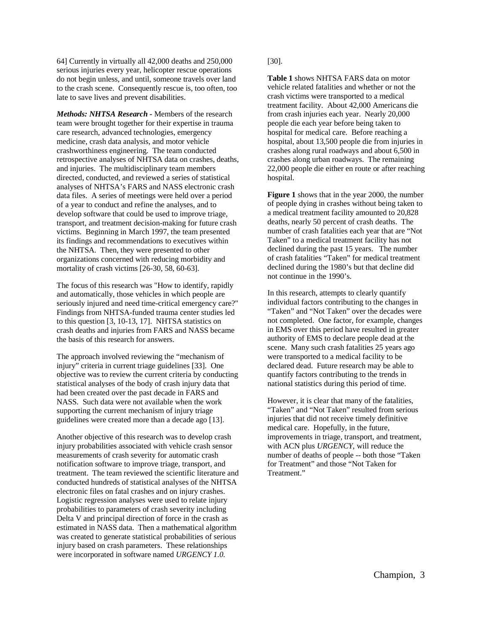64] Currently in virtually all 42,000 deaths and 250,000 serious injuries every year, helicopter rescue operations do not begin unless, and until, someone travels over land to the crash scene. Consequently rescue is, too often, too late to save lives and prevent disabilities.

*Methods: NHTSA Research -* Members of the research team were brought together for their expertise in trauma care research, advanced technologies, emergency medicine, crash data analysis, and motor vehicle crashworthiness engineering. The team conducted retrospective analyses of NHTSA data on crashes, deaths, and injuries. The multidisciplinary team members directed, conducted, and reviewed a series of statistical analyses of NHTSA's FARS and NASS electronic crash data files. A series of meetings were held over a period of a year to conduct and refine the analyses, and to develop software that could be used to improve triage, transport, and treatment decision-making for future crash victims. Beginning in March 1997, the team presented its findings and recommendations to executives within the NHTSA. Then, they were presented to other organizations concerned with reducing morbidity and mortality of crash victims [26-30, 58, 60-63].

The focus of this research was "How to identify, rapidly and automatically, those vehicles in which people are seriously injured and need time-critical emergency care?" Findings from NHTSA-funded trauma center studies led to this question [3, 10-13, 17]. NHTSA statistics on crash deaths and injuries from FARS and NASS became the basis of this research for answers.

The approach involved reviewing the "mechanism of injury" criteria in current triage guidelines [33]. One objective was to review the current criteria by conducting statistical analyses of the body of crash injury data that had been created over the past decade in FARS and NASS. Such data were not available when the work supporting the current mechanism of injury triage guidelines were created more than a decade ago [13].

Another objective of this research was to develop crash injury probabilities associated with vehicle crash sensor measurements of crash severity for automatic crash notification software to improve triage, transport, and treatment. The team reviewed the scientific literature and conducted hundreds of statistical analyses of the NHTSA electronic files on fatal crashes and on injury crashes. Logistic regression analyses were used to relate injury probabilities to parameters of crash severity including Delta V and principal direction of force in the crash as estimated in NASS data. Then a mathematical algorithm was created to generate statistical probabilities of serious injury based on crash parameters. These relationships were incorporated in software named *URGENCY 1.0.*

[30].

**Table 1** shows NHTSA FARS data on motor vehicle related fatalities and whether or not the crash victims were transported to a medical treatment facility. About 42,000 Americans die from crash injuries each year. Nearly 20,000 people die each year before being taken to hospital for medical care. Before reaching a hospital, about 13,500 people die from injuries in crashes along rural roadways and about 6,500 in crashes along urban roadways. The remaining 22,000 people die either en route or after reaching hospital.

**Figure 1** shows that in the year 2000, the number of people dying in crashes without being taken to a medical treatment facility amounted to 20,828 deaths, nearly 50 percent of crash deaths. The number of crash fatalities each year that are "Not Taken" to a medical treatment facility has not declined during the past 15 years. The number of crash fatalities "Taken" for medical treatment declined during the 1980's but that decline did not continue in the 1990's.

In this research, attempts to clearly quantify individual factors contributing to the changes in "Taken" and "Not Taken" over the decades were not completed. One factor, for example, changes in EMS over this period have resulted in greater authority of EMS to declare people dead at the scene. Many such crash fatalities 25 years ago were transported to a medical facility to be declared dead. Future research may be able to quantify factors contributing to the trends in national statistics during this period of time.

However, it is clear that many of the fatalities, "Taken" and "Not Taken" resulted from serious injuries that did not receive timely definitive medical care. Hopefully, in the future, improvements in triage, transport, and treatment, with ACN plus *URGENCY,* will reduce the number of deaths of people -- both those "Taken for Treatment" and those "Not Taken for Treatment."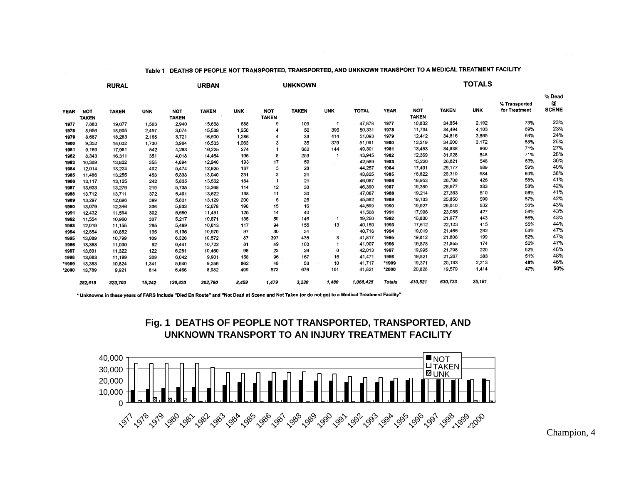|             | <b>RURAL</b> |              |            | <b>URBAN</b> |              |            | <b>UNKNOWN</b> |              |            | <b>TOTALS</b> |               |              |              |            |                                |                             |
|-------------|--------------|--------------|------------|--------------|--------------|------------|----------------|--------------|------------|---------------|---------------|--------------|--------------|------------|--------------------------------|-----------------------------|
| <b>YEAR</b> | <b>NOT</b>   | <b>TAKEN</b> | <b>UNK</b> | <b>NOT</b>   | <b>TAKEN</b> | <b>UNK</b> | <b>NOT</b>     | <b>TAKEN</b> | <b>UNK</b> | <b>TOTAL</b>  | <b>YEAR</b>   | <b>NOT</b>   | <b>TAKEN</b> | <b>UNK</b> | % Transported<br>for Treatment | % Dead<br>@<br><b>SCENE</b> |
|             | <b>TAKEN</b> |              |            | <b>TAKEN</b> |              |            | <b>TAKEN</b>   |              |            |               |               | <b>TAKEN</b> |              |            |                                |                             |
| 1977        | 7,883        | 19,077       | 1,503      | 2,940        | 15,668       | 688        | 9              | 109          |            | 47,878        | 1977          | 10,832       | 34,854       | 2,192      | 73%                            | 23%                         |
| 1978        | 8,656        | 18,905       | 2.457      | 3.074        | 15,539       | 1,250      |                | 50           | 396        | 50,331        | 1978          | 11,734       | 34,494       | 4,103      | 69%                            | 23%                         |
| 1979        | 8,687        | 18,283       | 2,165      | 3,721        | 16,500       | 1.286      |                | 33           | 414        | 51,093        | 1979          | 12,412       | 34,816       | 3,865      | 68%                            | 24%                         |
| 1980        | 9,352        | 18,032       | 1,730      | 3.964        | 16,533       | 1,063      |                | 35           | 379        | 51.091        | 1980          | 13,319       | 34,600       | 3,172      | 68%                            | 26%                         |
| 1981        | 9,169        | 17,981       | 542        | 4,283        | 16,225       | 274        |                | 682          | 144        | 49,301        | 1981          | 13,453       | 34,888       | 960        | 71%                            | 27%                         |
| 1982        | 8,343        | 16,311       | 351        | 4.018        | 14,464       | 196        | 8              | 253          |            | 43,945        | 1982          | 12,369       | 31,028       | 548        | 71%                            | 28%                         |
| 1983        | 10,309       | 13,822       | 355        | 4,894        | 12,940       | 193        | 17             | 59           |            | 42,589        | 1983          | 15,220       | 26,821       | 548        | 63%                            | 36%                         |
| 1984        | 12,014       | 13,224       | 402        | 5,474        | 12,925       | 187        | 3              | 28           |            | 44,257        | 1984          | 17,491       | 26,177       | 589        | 59%                            | 40%                         |
| 1985        | 11,486       | 13,255       | 453        | 5,333        | 13,040       | 231        | 3              | 24           |            | 43,825        | 1985          | 16,822       | 26,319       | 684        | 60%                            | 38%                         |
| 1986        | 13,117       | 13,125       | 242        | 5,835        | 13,562       | 184        |                | 21           |            | 46,087        | 1986          | 18,953       | 26,708       | 426        | 58%                            | 41%                         |
| 1987        | 13,633       | 13,279       | 219        | 5,735        | 13,368       | 114        | 12             | 30           |            | 46,390        | 1987          | 19,380       | 26,677       | 333        | 58%                            | 42%                         |
| 1988        | 13,712       | 13,711       | 372        | 5,491        | 13,622       | 138        | 11             | 30           |            | 47,087        | 1988          | 19,214       | 27,363       | 510        | 58%                            | 41%                         |
| 1989        | 13,297       | 12,696       | 399        | 5,831        | 13,129       | 200        | 5              | 25           |            | 45,582        | 1989          | 19,133       | 25,850       | 599        | 57%                            | 42%                         |
| 1990        | 13,079       | 12,346       | 336        | 5,933        | 12,678       | 196        | 15             | 16           |            | 44,599        | 1990          | 19,027       | 25,040       | 532        | 56%                            | 43%                         |
| 1991        | 12,432       | 11.594       | 302        | 5,550        | 11,451       | 125        | 14             | 40           |            | 41,508        | 1991          | 17,996       | 23,085       | 427        | 56%                            | 43%                         |
| 1992        | 11,554       | 10,960       | 307        | 5,217        | 10,871       | 135        | 59             | 146          |            | 39,250        | 1992          | 16,830       | 21,977       | 443        | 56%                            | 43%                         |
| 1993        | 12,019       | 11,155       | 285        | 5,499        | 10,813       | 117        | 94             | 155          | 13         | 40,150        | 1993          | 17,612       | 22,123       | 415        | 55%                            | 44%                         |
| 1994        | 12,854       | 10,852       | 135        | 6,135        | 10,579       | 97         | 30             | 34           |            | 40,716        | 1994          | 19,019       | 21,465       | 232        | 53%                            | 47%                         |
| 1995        | 13,089       | 10,799       | 109        | 6,326        | 10,572       | 87         | 397            | 435          | 3          | 41.817        | 1995          | 19,812       | 21,806       | 199        | 52%                            | 47%                         |
| 1996        | 13,388       | 11,030       | 92         | 6.441        | 10,722       | 81         | 49             | 103          |            | 41,907        | 1996          | 19,878       | 21,855       | 174        | 52%                            | 47%                         |
| 1997        | 13,691       | 11,322       | 122        | 6,281        | 10,450       | 98         | 23             | 26           | 0          | 42,013        | 1997          | 19,995       | 21,798       | 220        | 52%                            | 48%                         |
| 1998        | 13,683       | 11,199       | 209        | 6.042        | 9,901        | 158        | 96             | 167          | 16         | 41,471        | 1998          | 19,821       | 21,267       | 383        | 51%                            | 48%                         |
| *1999       | 13,383       | 10,824       | 1.341      | 5,940        | 9,256        | 862        | 48             | 53           | 10         | 41.717        | *1999         | 19,371       | 20,133       | 2,213      | 48%                            | 46%                         |
| *2000       | 13,789       | 9,921        | 814        | 6,466        | 8,982        | 499        | 573            | 676          | 101        | 41,821        | *2000         | 20,828       | 19,579       | 1,414      | 47%                            | 50%                         |
|             | 282,619      | 323.703      | 15,242     | 126,423      | 303,790      | 8,459      | 1,479          | 3,230        | 1.480      | 1.066,425     | <b>Totals</b> | 410,521      | 630,723      | 25,181     |                                |                             |

Table 1 DEATHS OF PEOPLE NOT TRANSPORTED, TRANSPORTED, AND UNKNOWN TRANSPORT TO A MEDICAL TREATMENT FACILITY

\* Unknowns in these years of FARS include "Died En Route" and "Not Dead at Scene and Not Taken (or do not go) to a Medical Treatment Facility"



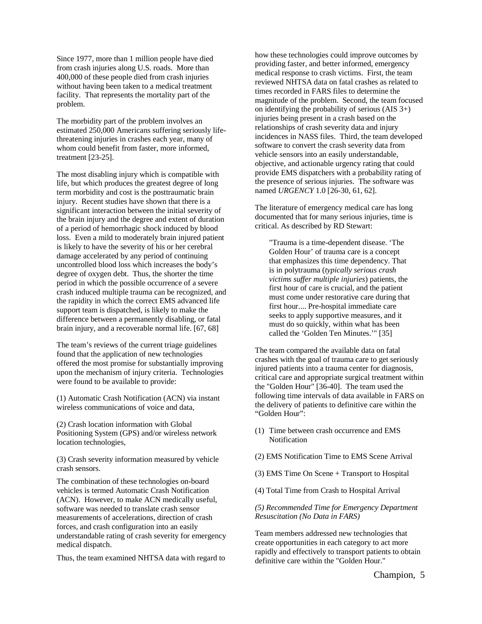Since 1977, more than 1 million people have died from crash injuries along U.S. roads. More than 400,000 of these people died from crash injuries without having been taken to a medical treatment facility. That represents the mortality part of the problem.

The morbidity part of the problem involves an estimated 250,000 Americans suffering seriously lifethreatening injuries in crashes each year, many of whom could benefit from faster, more informed, treatment [23-25].

The most disabling injury which is compatible with life, but which produces the greatest degree of long term morbidity and cost is the posttraumatic brain injury. Recent studies have shown that there is a significant interaction between the initial severity of the brain injury and the degree and extent of duration of a period of hemorrhagic shock induced by blood loss. Even a mild to moderately brain injured patient is likely to have the severity of his or her cerebral damage accelerated by any period of continuing uncontrolled blood loss which increases the body's degree of oxygen debt. Thus, the shorter the time period in which the possible occurrence of a severe crash induced multiple trauma can be recognized, and the rapidity in which the correct EMS advanced life support team is dispatched, is likely to make the difference between a permanently disabling, or fatal brain injury, and a recoverable normal life. [67, 68]

The team's reviews of the current triage guidelines found that the application of new technologies offered the most promise for substantially improving upon the mechanism of injury criteria. Technologies were found to be available to provide:

(1) Automatic Crash Notification (ACN) via instant wireless communications of voice and data,

(2) Crash location information with Global Positioning System (GPS) and/or wireless network location technologies,

(3) Crash severity information measured by vehicle crash sensors.

The combination of these technologies on-board vehicles is termed Automatic Crash Notification (ACN). However, to make ACN medically useful, software was needed to translate crash sensor measurements of accelerations, direction of crash forces, and crash configuration into an easily understandable rating of crash severity for emergency medical dispatch.

Thus, the team examined NHTSA data with regard to

how these technologies could improve outcomes by providing faster, and better informed, emergency medical response to crash victims. First, the team reviewed NHTSA data on fatal crashes as related to times recorded in FARS files to determine the magnitude of the problem. Second, the team focused on identifying the probability of serious (AIS 3+) injuries being present in a crash based on the relationships of crash severity data and injury incidences in NASS files. Third, the team developed software to convert the crash severity data from vehicle sensors into an easily understandable, objective, and actionable urgency rating that could provide EMS dispatchers with a probability rating of the presence of serious injuries. The software was named *URGENCY* 1.0 [26-30, 61, 62].

The literature of emergency medical care has long documented that for many serious injuries, time is critical. As described by RD Stewart:

"Trauma is a time-dependent disease. 'The Golden Hour' of trauma care is a concept that emphasizes this time dependency. That is in polytrauma (*typically serious crash victims suffer multiple injuries*) patients, the first hour of care is crucial, and the patient must come under restorative care during that first hour.... Pre-hospital immediate care seeks to apply supportive measures, and it must do so quickly, within what has been called the 'Golden Ten Minutes.'" [35]

The team compared the available data on fatal crashes with the goal of trauma care to get seriously injured patients into a trauma center for diagnosis, critical care and appropriate surgical treatment within the "Golden Hour" [36-40]. The team used the following time intervals of data available in FARS on the delivery of patients to definitive care within the "Golden Hour":

- (1) Time between crash occurrence and EMS Notification
- (2) EMS Notification Time to EMS Scene Arrival
- (3) EMS Time On Scene + Transport to Hospital
- (4) Total Time from Crash to Hospital Arrival

*(5) Recommended Time for Emergency Department Resuscitation (No Data in FARS)*

Team members addressed new technologies that create opportunities in each category to act more rapidly and effectively to transport patients to obtain definitive care within the "Golden Hour."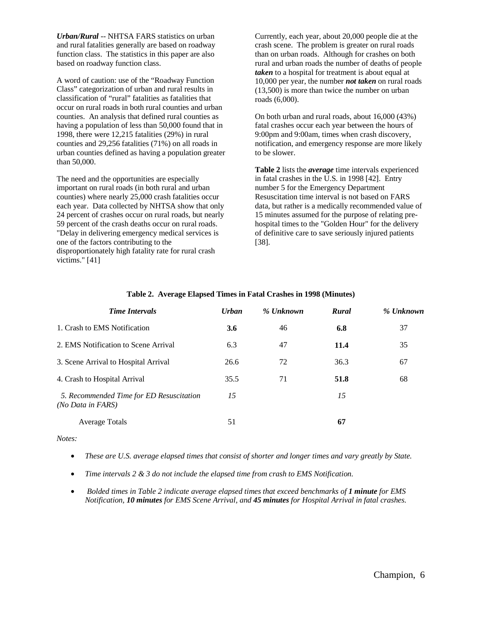*Urban/Rural* -- NHTSA FARS statistics on urban and rural fatalities generally are based on roadway function class. The statistics in this paper are also based on roadway function class.

A word of caution: use of the "Roadway Function Class" categorization of urban and rural results in classification of "rural" fatalities as fatalities that occur on rural roads in both rural counties and urban counties. An analysis that defined rural counties as having a population of less than 50,000 found that in 1998, there were 12,215 fatalities (29%) in rural counties and 29,256 fatalities (71%) on all roads in urban counties defined as having a population greater than 50,000.

The need and the opportunities are especially important on rural roads (in both rural and urban counties) where nearly 25,000 crash fatalities occur each year. Data collected by NHTSA show that only 24 percent of crashes occur on rural roads, but nearly 59 percent of the crash deaths occur on rural roads. "Delay in delivering emergency medical services is one of the factors contributing to the disproportionately high fatality rate for rural crash victims." [41]

Currently, each year, about 20,000 people die at the crash scene. The problem is greater on rural roads than on urban roads. Although for crashes on both rural and urban roads the number of deaths of people *taken* to a hospital for treatment is about equal at 10,000 per year, the number *not taken* on rural roads (13,500) is more than twice the number on urban roads (6,000).

On both urban and rural roads, about 16,000 (43%) fatal crashes occur each year between the hours of 9:00pm and 9:00am, times when crash discovery, notification, and emergency response are more likely to be slower.

**Table 2** lists the *average* time intervals experienced in fatal crashes in the U.S. in 1998 [42]. Entry number 5 for the Emergency Department Resuscitation time interval is not based on FARS data, but rather is a medically recommended value of 15 minutes assumed for the purpose of relating prehospital times to the "Golden Hour" for the delivery of definitive care to save seriously injured patients [38].

| <b>Time Intervals</b>                                         | <b>Urban</b> | % Unknown | Rural | % Unknown |
|---------------------------------------------------------------|--------------|-----------|-------|-----------|
| 1. Crash to EMS Notification                                  | 3.6          | 46        | 6.8   | 37        |
| 2. EMS Notification to Scene Arrival                          | 6.3          | 47        | 11.4  | 35        |
| 3. Scene Arrival to Hospital Arrival                          | 26.6         | 72        | 36.3  | 67        |
| 4. Crash to Hospital Arrival                                  | 35.5         | 71        | 51.8  | 68        |
| 5. Recommended Time for ED Resuscitation<br>(No Data in FARS) | 15           |           | 15    |           |
| <b>Average Totals</b>                                         | 51           |           | 67    |           |

# **Table 2. Average Elapsed Times in Fatal Crashes in 1998 (Minutes)**

*Notes:*

- *These are U.S. average elapsed times that consist of shorter and longer times and vary greatly by State.*
- *Time intervals 2 & 3 do not include the elapsed time from crash to EMS Notification.*
- *Bolded times in Table 2 indicate average elapsed times that exceed benchmarks of 1 minute for EMS Notification, 10 minutes for EMS Scene Arrival, and 45 minutes for Hospital Arrival in fatal crashes.*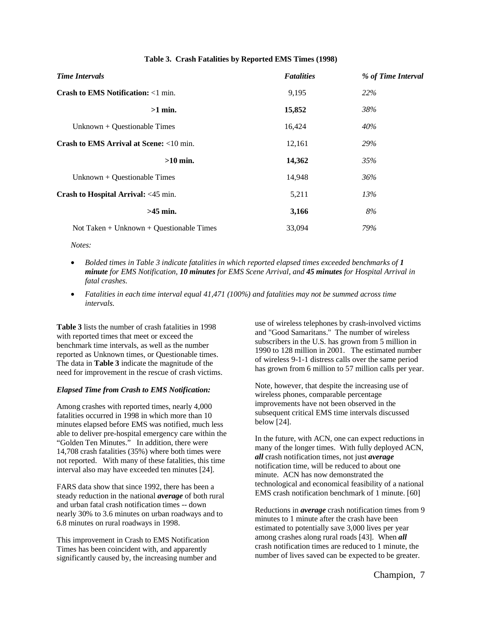# **Table 3. Crash Fatalities by Reported EMS Times (1998)**

| <b>Time Intervals</b>                              | <b>Fatalities</b> | % of Time Interval |  |
|----------------------------------------------------|-------------------|--------------------|--|
| <b>Crash to EMS Notification:</b> $\langle$ 1 min. | 9,195             | <b>22%</b>         |  |
| $>1$ min.                                          | 15,852            | 38%                |  |
| Unknown + Ouestionable Times                       | 16,424            | 40%                |  |
| Crash to EMS Arrival at Scene: <10 min.            | 12,161            | 29%                |  |
| $>10$ min.                                         | 14,362            | 35%                |  |
| Unknown + Questionable Times                       | 14,948            | 36%                |  |
| Crash to Hospital Arrival: <45 min.                | 5,211             | 13%                |  |
| $>45$ min.                                         | 3,166             | 8%                 |  |
| Not Taken + Unknown + Questionable Times           | 33,094            | 79%                |  |

*Notes:*

- *Bolded times in Table 3 indicate fatalities in which reported elapsed times exceeded benchmarks of 1 minute for EMS Notification, 10 minutes for EMS Scene Arrival, and 45 minutes for Hospital Arrival in fatal crashes.*
- *Fatalities in each time interval equal 41,471 (100%) and fatalities may not be summed across time intervals.*

**Table 3** lists the number of crash fatalities in 1998 with reported times that meet or exceed the benchmark time intervals, as well as the number reported as Unknown times, or Questionable times. The data in **Table 3** indicate the magnitude of the need for improvement in the rescue of crash victims.

## *Elapsed Time from Crash to EMS Notification:*

Among crashes with reported times, nearly 4,000 fatalities occurred in 1998 in which more than 10 minutes elapsed before EMS was notified, much less able to deliver pre-hospital emergency care within the "Golden Ten Minutes." In addition, there were 14,708 crash fatalities (35%) where both times were not reported. With many of these fatalities, this time interval also may have exceeded ten minutes [24].

FARS data show that since 1992, there has been a steady reduction in the national *average* of both rural and urban fatal crash notification times -- down nearly 30% to 3.6 minutes on urban roadways and to 6.8 minutes on rural roadways in 1998.

This improvement in Crash to EMS Notification Times has been coincident with, and apparently significantly caused by, the increasing number and

use of wireless telephones by crash-involved victims and "Good Samaritans." The number of wireless subscribers in the U.S. has grown from 5 million in 1990 to 128 million in 2001. The estimated number of wireless 9-1-1 distress calls over the same period has grown from 6 million to 57 million calls per year.

Note, however, that despite the increasing use of wireless phones, comparable percentage improvements have not been observed in the subsequent critical EMS time intervals discussed below [24].

In the future, with ACN, one can expect reductions in many of the longer times. With fully deployed ACN, *all* crash notification times, not just *average* notification time, will be reduced to about one minute. ACN has now demonstrated the technological and economical feasibility of a national EMS crash notification benchmark of 1 minute. [60]

Reductions in *average* crash notification times from 9 minutes to 1 minute after the crash have been estimated to potentially save 3,000 lives per year among crashes along rural roads [43]. When *all* crash notification times are reduced to 1 minute, the number of lives saved can be expected to be greater.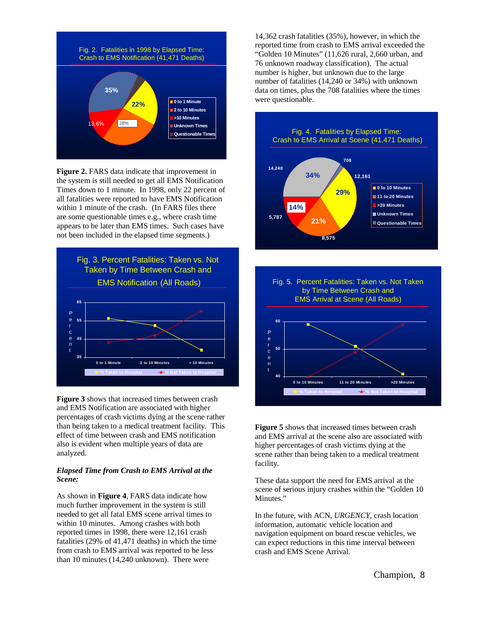

**Figure 2.** FARS data indicate that improvement in the system is still needed to get all EMS Notification Times down to 1 minute. In 1998, only 22 percent of all fatalities were reported to have EMS Notification within 1 minute of the crash. (In FARS files there are some questionable times e.g., where crash time appears to be later than EMS times. Such cases have not been included in the elapsed time segments.)



**Figure 3** shows that increased times between crash and EMS Notification are associated with higher percentages of crash victims dying at the scene rather than being taken to a medical treatment facility. This effect of time between crash and EMS notification also is evident when multiple years of data are analyzed.

#### *Elapsed Time from Crash to EMS Arrival at the Scene:*

As shown in **Figure 4**, FARS data indicate how much further improvement in the system is still needed to get all fatal EMS scene arrival times to within 10 minutes. Among crashes with both reported times in 1998, there were 12,161 crash fatalities (29% of 41,471 deaths) in which the time from crash to EMS arrival was reported to be less than 10 minutes (14,240 unknown). There were

14,362 crash fatalities (35%), however, in which the reported time from crash to EMS arrival exceeded the "Golden 10 Minutes" (11,626 rural, 2,660 urban, and 76 unknown roadway classification). The actual number is higher, but unknown due to the large number of fatalities (14,240 or 34%) with unknown data on times, plus the 708 fatalities where the times were questionable.





**Figure 5** shows that increased times between crash and EMS arrival at the scene also are associated with higher percentages of crash victims dying at the scene rather than being taken to a medical treatment facility.

These data support the need for EMS arrival at the scene of serious injury crashes within the "Golden 10 Minutes."

In the future, with ACN, *URGENCY*, crash location information, automatic vehicle location and navigation equipment on board rescue vehicles, we can expect reductions in this time interval between crash and EMS Scene Arrival.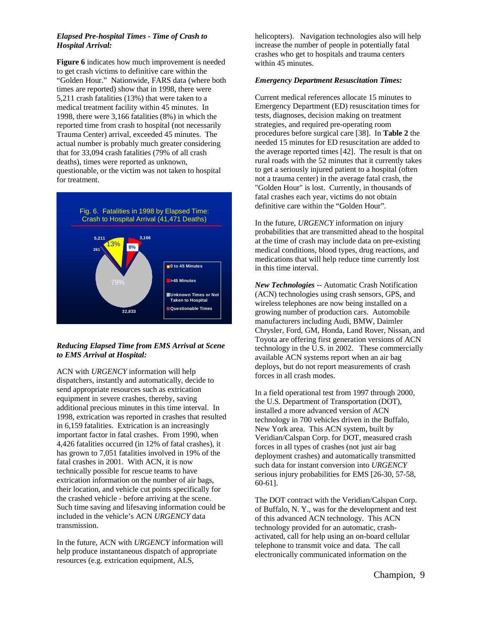## *Elapsed Pre-hospital Times - Time of Crash to Hospital Arrival:*

**Figure 6** indicates how much improvement is needed to get crash victims to definitive care within the "Golden Hour." Nationwide, FARS data (where both times are reported) show that in 1998, there were 5,211 crash fatalities (13%) that were taken to a medical treatment facility within 45 minutes. In 1998, there were 3,166 fatalities (8%) in which the reported time from crash to hospital (not necessarily Trauma Center) arrival, exceeded 45 minutes. The actual number is probably much greater considering that for 33,094 crash fatalities (79% of all crash deaths), times were reported as unknown, questionable, or the victim was not taken to hospital for treatment.



# *Reducing Elapsed Time from EMS Arrival at Scene to EMS Arrival at Hospital:*

ACN with *URGENCY* information will help dispatchers, instantly and automatically, decide to send appropriate resources such as extrication equipment in severe crashes, thereby, saving additional precious minutes in this time interval. In 1998, extrication was reported in crashes that resulted in 6,159 fatalities. Extrication is an increasingly important factor in fatal crashes. From 1990, when 4,426 fatalities occurred (in 12% of fatal crashes), it has grown to 7,051 fatalities involved in 19% of the fatal crashes in 2001. With ACN, it is now technically possible for rescue teams to have extrication information on the number of air bags, their location, and vehicle cut points specifically for the crashed vehicle - before arriving at the scene. Such time saving and lifesaving information could be included in the vehicle's ACN *URGENCY* data transmission.

In the future, ACN with *URGENCY* information will help produce instantaneous dispatch of appropriate resources (e.g. extrication equipment, ALS,

helicopters). Navigation technologies also will help increase the number of people in potentially fatal crashes who get to hospitals and trauma centers within 45 minutes.

## *Emergency Department Resuscitation Times:*

Current medical references allocate 15 minutes to Emergency Department (ED) resuscitation times for tests, diagnoses, decision making on treatment strategies, and required pre-operating room procedures before surgical care [38]. In **Table 2** the needed 15 minutes for ED resuscitation are added to the average reported times [42]. The result is that on rural roads with the 52 minutes that it currently takes to get a seriously injured patient to a hospital (often not a trauma center) in the average fatal crash, the "Golden Hour" is lost. Currently, in thousands of fatal crashes each year, victims do not obtain definitive care within the "Golden Hour".

In the future, *URGENCY* information on injury probabilities that are transmitted ahead to the hospital at the time of crash may include data on pre-existing medical conditions, blood types, drug reactions, and medications that will help reduce time currently lost in this time interval.

*New Technologies* -- Automatic Crash Notification (ACN) technologies using crash sensors, GPS, and wireless telephones are now being installed on a growing number of production cars. Automobile manufacturers including Audi, BMW, Daimler Chrysler, Ford, GM, Honda, Land Rover, Nissan, and Toyota are offering first generation versions of ACN technology in the U.S. in 2002. These commercially available ACN systems report when an air bag deploys, but do not report measurements of crash forces in all crash modes.

In a field operational test from 1997 through 2000, the U.S. Department of Transportation (DOT), installed a more advanced version of ACN technology in 700 vehicles driven in the Buffalo, New York area. This ACN system, built by Veridian/Calspan Corp. for DOT, measured crash forces in all types of crashes (not just air bag deployment crashes) and automatically transmitted such data for instant conversion into *URGENCY* serious injury probabilities for EMS [26-30, 57-58, 60-61].

The DOT contract with the Veridian/Calspan Corp. of Buffalo, N. Y., was for the development and test of this advanced ACN technology. This ACN technology provided for an automatic, crashactivated, call for help using an on-board cellular telephone to transmit voice and data. The call electronically communicated information on the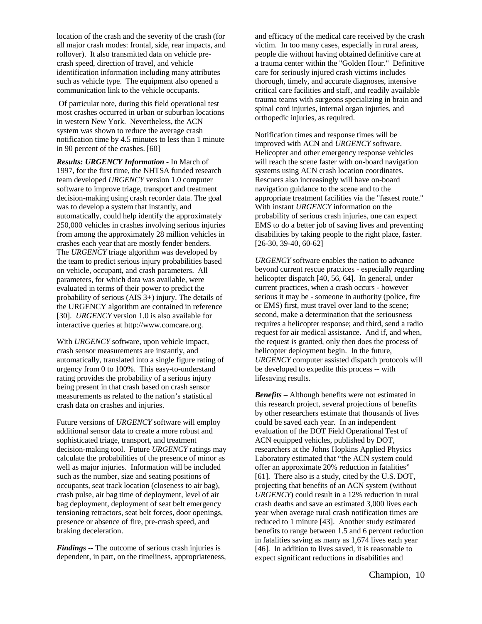location of the crash and the severity of the crash (for all major crash modes: frontal, side, rear impacts, and rollover). It also transmitted data on vehicle precrash speed, direction of travel, and vehicle identification information including many attributes such as vehicle type. The equipment also opened a communication link to the vehicle occupants.

Of particular note, during this field operational test most crashes occurred in urban or suburban locations in western New York. Nevertheless, the ACN system was shown to reduce the average crash notification time by 4.5 minutes to less than 1 minute in 90 percent of the crashes. [60]

*Results: URGENCY Information -* In March of 1997, for the first time, the NHTSA funded research team developed *URGENCY* version 1.0 computer software to improve triage, transport and treatment decision-making using crash recorder data. The goal was to develop a system that instantly, and automatically, could help identify the approximately 250,000 vehicles in crashes involving serious injuries from among the approximately 28 million vehicles in crashes each year that are mostly fender benders. The *URGENCY* triage algorithm was developed by the team to predict serious injury probabilities based on vehicle, occupant, and crash parameters. All parameters, for which data was available, were evaluated in terms of their power to predict the probability of serious (AIS 3+) injury. The details of the URGENCY algorithm are contained in reference [30]. *URGENCY* version 1.0 is also available for interactive queries at http://www.comcare.org.

With *URGENCY* software, upon vehicle impact, crash sensor measurements are instantly, and automatically, translated into a single figure rating of urgency from 0 to 100%. This easy-to-understand rating provides the probability of a serious injury being present in that crash based on crash sensor measurements as related to the nation's statistical crash data on crashes and injuries.

Future versions of *URGENCY* software will employ additional sensor data to create a more robust and sophisticated triage, transport, and treatment decision-making tool. Future *URGENCY* ratings may calculate the probabilities of the presence of minor as well as major injuries. Information will be included such as the number, size and seating positions of occupants, seat track location (closeness to air bag), crash pulse, air bag time of deployment, level of air bag deployment, deployment of seat belt emergency tensioning retractors, seat belt forces, door openings, presence or absence of fire, pre-crash speed, and braking deceleration.

*Findings* -- The outcome of serious crash injuries is dependent, in part, on the timeliness, appropriateness, and efficacy of the medical care received by the crash victim. In too many cases, especially in rural areas, people die without having obtained definitive care at a trauma center within the "Golden Hour." Definitive care for seriously injured crash victims includes thorough, timely, and accurate diagnoses, intensive critical care facilities and staff, and readily available trauma teams with surgeons specializing in brain and spinal cord injuries, internal organ injuries, and orthopedic injuries, as required.

Notification times and response times will be improved with ACN and *URGENCY* software. Helicopter and other emergency response vehicles will reach the scene faster with on-board navigation systems using ACN crash location coordinates. Rescuers also increasingly will have on-board navigation guidance to the scene and to the appropriate treatment facilities via the "fastest route." With instant *URGENCY* information on the probability of serious crash injuries, one can expect EMS to do a better job of saving lives and preventing disabilities by taking people to the right place, faster.  $[26-30, 39-40, 60-62]$ 

*URGENCY* software enables the nation to advance beyond current rescue practices - especially regarding helicopter dispatch [40, 56, 64]. In general, under current practices, when a crash occurs - however serious it may be - someone in authority (police, fire or EMS) first, must travel over land to the scene; second, make a determination that the seriousness requires a helicopter response; and third, send a radio request for air medical assistance. And if, and when, the request is granted, only then does the process of helicopter deployment begin. In the future, *URGENCY* computer assisted dispatch protocols will be developed to expedite this process -- with lifesaving results.

*Benefits* – Although benefits were not estimated in this research project, several projections of benefits by other researchers estimate that thousands of lives could be saved each year. In an independent evaluation of the DOT Field Operational Test of ACN equipped vehicles, published by DOT, researchers at the Johns Hopkins Applied Physics Laboratory estimated that "the ACN system could offer an approximate 20% reduction in fatalities" [61]. There also is a study, cited by the U.S. DOT, projecting that benefits of an ACN system (without *URGENCY*) could result in a 12% reduction in rural crash deaths and save an estimated 3,000 lives each year when average rural crash notification times are reduced to 1 minute [43]. Another study estimated benefits to range between 1.5 and 6 percent reduction in fatalities saving as many as 1,674 lives each year [46]. In addition to lives saved, it is reasonable to expect significant reductions in disabilities and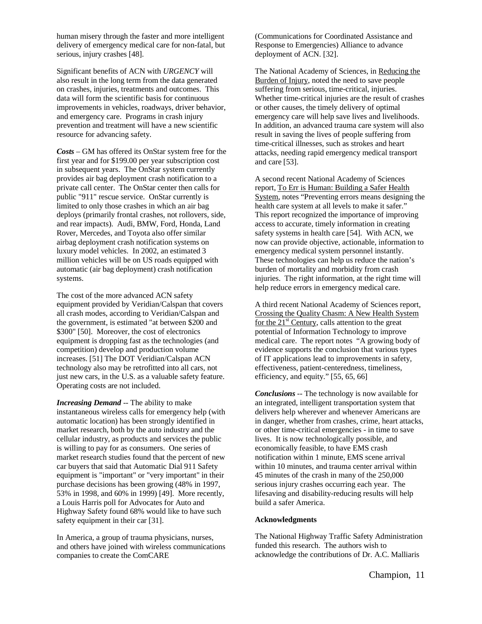human misery through the faster and more intelligent delivery of emergency medical care for non-fatal, but serious, injury crashes [48].

Significant benefits of ACN with *URGENCY* will also result in the long term from the data generated on crashes, injuries, treatments and outcomes. This data will form the scientific basis for continuous improvements in vehicles, roadways, driver behavior, and emergency care. Programs in crash injury prevention and treatment will have a new scientific resource for advancing safety.

*Costs* – GM has offered its OnStar system free for the first year and for \$199.00 per year subscription cost in subsequent years. The OnStar system currently provides air bag deployment crash notification to a private call center. The OnStar center then calls for public "911" rescue service. OnStar currently is limited to only those crashes in which an air bag deploys (primarily frontal crashes, not rollovers, side, and rear impacts). Audi, BMW, Ford, Honda, Land Rover, Mercedes, and Toyota also offer similar airbag deployment crash notification systems on luxury model vehicles. In 2002, an estimated 3 million vehicles will be on US roads equipped with automatic (air bag deployment) crash notification systems.

The cost of the more advanced ACN safety equipment provided by Veridian/Calspan that covers all crash modes, according to Veridian/Calspan and the government, is estimated "at between \$200 and \$300" [50]. Moreover, the cost of electronics equipment is dropping fast as the technologies (and competition) develop and production volume increases. [51] The DOT Veridian/Calspan ACN technology also may be retrofitted into all cars, not just new cars, in the U.S. as a valuable safety feature. Operating costs are not included.

*Increasing Demand* -- The ability to make instantaneous wireless calls for emergency help (with automatic location) has been strongly identified in market research, both by the auto industry and the cellular industry, as products and services the public is willing to pay for as consumers. One series of market research studies found that the percent of new car buyers that said that Automatic Dial 911 Safety equipment is "important" or "very important" in their purchase decisions has been growing (48% in 1997, 53% in 1998, and 60% in 1999) [49]. More recently, a Louis Harris poll for Advocates for Auto and Highway Safety found 68% would like to have such safety equipment in their car [31].

In America, a group of trauma physicians, nurses, and others have joined with wireless communications companies to create the ComCARE

(Communications for Coordinated Assistance and Response to Emergencies) Alliance to advance deployment of ACN. [32].

The National Academy of Sciences, in Reducing the Burden of Injury, noted the need to save people suffering from serious, time-critical, injuries. Whether time-critical injuries are the result of crashes or other causes, the timely delivery of optimal emergency care will help save lives and livelihoods. In addition, an advanced trauma care system will also result in saving the lives of people suffering from time-critical illnesses, such as strokes and heart attacks, needing rapid emergency medical transport and care [53].

A second recent National Academy of Sciences report, To Err is Human: Building a Safer Health System, notes "Preventing errors means designing the health care system at all levels to make it safer." This report recognized the importance of improving access to accurate, timely information in creating safety systems in health care [54]. With ACN, we now can provide objective, actionable, information to emergency medical system personnel instantly. These technologies can help us reduce the nation's burden of mortality and morbidity from crash injuries. The right information, at the right time will help reduce errors in emergency medical care.

A third recent National Academy of Sciences report, Crossing the Quality Chasm: A New Health System for the  $21<sup>st</sup>$  Century, calls attention to the great potential of Information Technology to improve medical care. The report notes "A growing body of evidence supports the conclusion that various types of IT applications lead to improvements in safety, effectiveness, patient-centeredness, timeliness, efficiency, and equity." [55, 65, 66]

*Conclusions --* The technology is now available for an integrated, intelligent transportation system that delivers help wherever and whenever Americans are in danger, whether from crashes, crime, heart attacks, or other time-critical emergencies - in time to save lives. It is now technologically possible, and economically feasible, to have EMS crash notification within 1 minute, EMS scene arrival within 10 minutes, and trauma center arrival within 45 minutes of the crash in many of the 250,000 serious injury crashes occurring each year. The lifesaving and disability-reducing results will help build a safer America.

#### **Acknowledgments**

The National Highway Traffic Safety Administration funded this research. The authors wish to acknowledge the contributions of Dr. A.C. Malliaris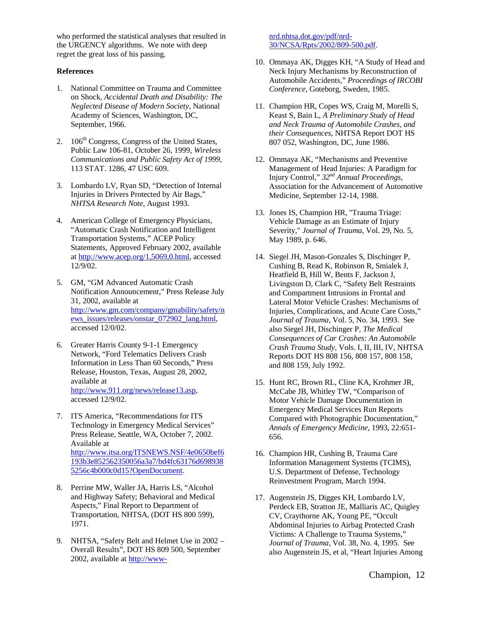who performed the statistical analyses that resulted in the URGENCY algorithms. We note with deep regret the great loss of his passing.

#### **References**

- 1. National Committee on Trauma and Committee on Shock, *Accidental Death and Disability: The Neglected Disease of Modern Society*, National Academy of Sciences, Washington, DC, September, 1966.
- 2. 106<sup>th</sup> Congress, Congress of the United States, Public Law 106-81, October 26, 1999, *Wireless Communications and Public Safety Act of 1999*, 113 STAT. 1286, 47 USC 609.
- 3. Lombardo LV, Ryan SD, "Detection of Internal Injuries in Drivers Protected by Air Bags," *NHTSA Research Note*, August 1993.
- 4. American College of Emergency Physicians, "Automatic Crash Notification and Intelligent Transportation Systems," ACEP Policy Statements, Approved February 2002, available at http://www.acep.org/1,5069,0.html, accessed 12/9/02.
- 5. GM, "GM Advanced Automatic Crash Notification Announcement," Press Release July 31, 2002, available at http://www.gm.com/company/gmability/safety/n ews\_issues/releases/onstar\_072902\_lang.html, accessed 12/0/02.
- 6. Greater Harris County 9-1-1 Emergency Network, "Ford Telematics Delivers Crash Information in Less Than 60 Seconds," Press Release, Houston, Texas, August 28, 2002, available at http://www.911.org/news/release13.asp, accessed 12/9/02.
- 7. ITS America, "Recommendations for ITS Technology in Emergency Medical Services" Press Release, Seattle, WA, October 7, 2002. Available at http://www.itsa.org/ITSNEWS.NSF/4e0650bef6 193b3e852562350056a3a7/bd4fc63176d698938 5256c4b000c0d15?OpenDocument.
- 8. Perrine MW, Waller JA, Harris LS, "Alcohol and Highway Safety; Behavioral and Medical Aspects," Final Report to Department of Transportation, NHTSA, (DOT HS 800 599), 1971.
- 9. NHTSA, "Safety Belt and Helmet Use in 2002 Overall Results", DOT HS 809 500, September 2002, available at http://www-

nrd.nhtsa.dot.gov/pdf/nrd-30/NCSA/Rpts/2002/809-500.pdf.

- 10. Ommaya AK, Digges KH, "A Study of Head and Neck Injury Mechanisms by Reconstruction of Automobile Accidents," *Proceedings of IRCOBI Conference*, Goteborg, Sweden, 1985.
- 11. Champion HR, Copes WS, Craig M, Morelli S, Keast S, Bain L, *A Preliminary Study of Head and Neck Trauma of Automobile Crashes, and their Consequences*, NHTSA Report DOT HS 807 052, Washington, DC, June 1986.
- 12. Ommaya AK, "Mechanisms and Preventive Management of Head Injuries: A Paradigm for Injury Control," *32nd Annual Proceedings*, Association for the Advancement of Automotive Medicine, September 12-14, 1988.
- 13. Jones IS, Champion HR, "Trauma Triage: Vehicle Damage as an Estimate of Injury Severity," *Journal of Trauma*, Vol. 29, No. 5, May 1989, p. 646.
- 14. Siegel JH, Mason-Gonzales S, Dischinger P, Cushing B, Read K, Robinson R, Smialek J, Heatfield B, Hill W, Bents F, Jackson J, Livingston D, Clark C, "Safety Belt Restraints and Compartment Intrusions in Frontal and Lateral Motor Vehicle Crashes: Mechanisms of Injuries, Complications, and Acute Care Costs," *Journal of Trauma*, Vol. 5, No. 34, 1993. See also Siegel JH, Dischinger P, *The Medical Consequences of Car Crashes: An Automobile Crash Trauma Study*, Vols. I, II, III, IV, NHTSA Reports DOT HS 808 156, 808 157, 808 158, and 808 159, July 1992.
- 15. Hunt RC, Brown RL, Cline KA, Krohmer JR, McCabe JB, Whitley TW, "Comparison of Motor Vehicle Damage Documentation in Emergency Medical Services Run Reports Compared with Photographic Documentation," *Annals of Emergency Medicine*, 1993, 22:651- 656.
- 16. Champion HR, Cushing B, Trauma Care Information Management Systems (TCIMS), U.S. Department of Defense, Technology Reinvestment Program, March 1994.
- 17. Augenstein JS, Digges KH, Lombardo LV, Perdeck EB, Stratton JE, Malliaris AC, Quigley CV, Craythorne AK, Young PE, "Occult Abdominal Injuries to Airbag Protected Crash Victims: A Challenge to Trauma Systems," *Journal of Trauma*, Vol. 38, No. 4, 1995. See also Augenstein JS, et al, "Heart Injuries Among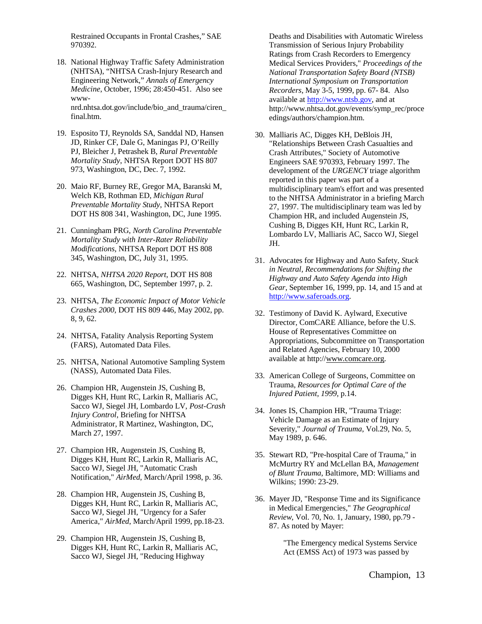Restrained Occupants in Frontal Crashes," SAE 970392.

- 18. National Highway Traffic Safety Administration (NHTSA), "NHTSA Crash-Injury Research and Engineering Network," *Annals of Emergency Medicine*, October, 1996; 28:450-451. Also see wwwnrd.nhtsa.dot.gov/include/bio\_and\_trauma/ciren\_ final.htm.
- 19. Esposito TJ, Reynolds SA, Sanddal ND, Hansen JD, Rinker CF, Dale G, Maningas PJ, O'Reilly PJ, Bleicher J, Petrashek B, *Rural Preventable Mortality Study*, NHTSA Report DOT HS 807 973, Washington, DC, Dec. 7, 1992.
- 20. Maio RF, Burney RE, Gregor MA, Baranski M, Welch KB, Rothman ED, *Michigan Rural Preventable Mortality Study*, NHTSA Report DOT HS 808 341, Washington, DC, June 1995.
- 21. Cunningham PRG, *North Carolina Preventable Mortality Study with Inter-Rater Reliability Modifications*, NHTSA Report DOT HS 808 345, Washington, DC, July 31, 1995.
- 22. NHTSA, *NHTSA 2020 Report*, DOT HS 808 665, Washington, DC, September 1997, p. 2.
- 23. NHTSA, *The Economic Impact of Motor Vehicle Crashes 2000*, DOT HS 809 446, May 2002, pp. 8, 9, 62.
- 24. NHTSA, Fatality Analysis Reporting System (FARS), Automated Data Files.
- 25. NHTSA, National Automotive Sampling System (NASS), Automated Data Files.
- 26. Champion HR, Augenstein JS, Cushing B, Digges KH, Hunt RC, Larkin R, Malliaris AC, Sacco WJ, Siegel JH, Lombardo LV, *Post-Crash Injury Control*, Briefing for NHTSA Administrator, R Martinez, Washington, DC, March 27, 1997.
- 27. Champion HR, Augenstein JS, Cushing B, Digges KH, Hunt RC, Larkin R, Malliaris AC, Sacco WJ, Siegel JH, "Automatic Crash Notification," *AirMed*, March/April 1998, p. 36.
- 28. Champion HR, Augenstein JS, Cushing B, Digges KH, Hunt RC, Larkin R, Malliaris AC, Sacco WJ, Siegel JH, "Urgency for a Safer America," *AirMed*, March/April 1999, pp.18-23.
- 29. Champion HR, Augenstein JS, Cushing B, Digges KH, Hunt RC, Larkin R, Malliaris AC, Sacco WJ, Siegel JH, "Reducing Highway

Deaths and Disabilities with Automatic Wireless Transmission of Serious Injury Probability Ratings from Crash Recorders to Emergency Medical Services Providers," *Proceedings of the National Transportation Safety Board (NTSB) International Symposium on Transportation Recorders*, May 3-5, 1999, pp. 67- 84. Also available at http://www.ntsb.gov, and at http://www.nhtsa.dot.gov/events/symp\_rec/proce edings/authors/champion.htm.

- 30. Malliaris AC, Digges KH, DeBlois JH, "Relationships Between Crash Casualties and Crash Attributes," Society of Automotive Engineers SAE 970393, February 1997. The development of the *URGENCY* triage algorithm reported in this paper was part of a multidisciplinary team's effort and was presented to the NHTSA Administrator in a briefing March 27, 1997. The multidisciplinary team was led by Champion HR, and included Augenstein JS, Cushing B, Digges KH, Hunt RC, Larkin R, Lombardo LV, Malliaris AC, Sacco WJ, Siegel JH.
- 31. Advocates for Highway and Auto Safety, *Stuck in Neutral, Recommendations for Shifting the Highway and Auto Safety Agenda into High Gear*, September 16, 1999, pp. 14, and 15 and at http://www.saferoads.org.
- 32. Testimony of David K. Aylward, Executive Director, ComCARE Alliance, before the U.S. House of Representatives Committee on Appropriations, Subcommittee on Transportation and Related Agencies, February 10, 2000 available at http://www.comcare.org.
- 33. American College of Surgeons, Committee on Trauma, *Resources for Optimal Care of the Injured Patient, 1999*, p.14.
- 34. Jones IS, Champion HR, "Trauma Triage: Vehicle Damage as an Estimate of Injury Severity," *Journal of Trauma*, Vol.29, No. 5, May 1989, p. 646.
- 35. Stewart RD, "Pre-hospital Care of Trauma," in McMurtry RY and McLellan BA, *Management of Blunt Trauma*, Baltimore, MD: Williams and Wilkins; 1990: 23-29.
- 36. Mayer JD, "Response Time and its Significance in Medical Emergencies," *The Geographical Review*, Vol. 70, No. 1, January, 1980, pp.79 - 87. As noted by Mayer:

"The Emergency medical Systems Service Act (EMSS Act) of 1973 was passed by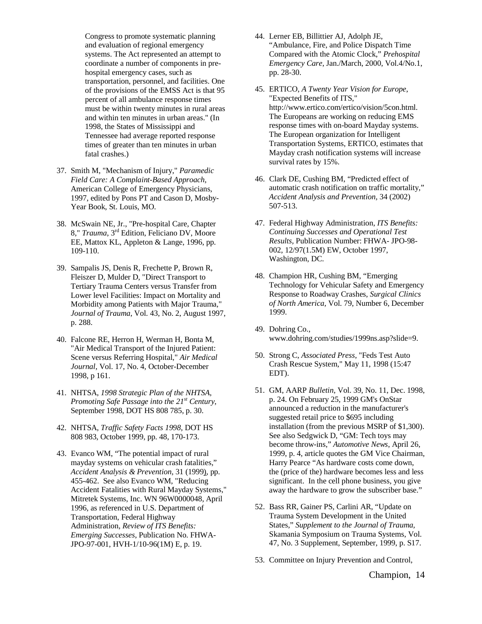Congress to promote systematic planning and evaluation of regional emergency systems. The Act represented an attempt to coordinate a number of components in prehospital emergency cases, such as transportation, personnel, and facilities. One of the provisions of the EMSS Act is that 95 percent of all ambulance response times must be within twenty minutes in rural areas and within ten minutes in urban areas." (In 1998, the States of Mississippi and Tennessee had average reported response times of greater than ten minutes in urban fatal crashes.)

- 37. Smith M, "Mechanism of Injury," *Paramedic Field Care: A Complaint-Based Approach*, American College of Emergency Physicians, 1997, edited by Pons PT and Cason D, Mosby-Year Book, St. Louis, MO.
- 38. McSwain NE, Jr., "Pre-hospital Care, Chapter 8," *Trauma*, 3rd Edition, Feliciano DV, Moore EE, Mattox KL, Appleton & Lange, 1996, pp. 109-110.
- 39. Sampalis JS, Denis R, Frechette P, Brown R, Fleiszer D, Mulder D, "Direct Transport to Tertiary Trauma Centers versus Transfer from Lower level Facilities: Impact on Mortality and Morbidity among Patients with Major Trauma," *Journal of Trauma*, Vol. 43, No. 2, August 1997, p. 288.
- 40. Falcone RE, Herron H, Werman H, Bonta M, "Air Medical Transport of the Injured Patient: Scene versus Referring Hospital," *Air Medical Journal*, Vol. 17, No. 4, October-December 1998, p 161.
- 41. NHTSA, *1998 Strategic Plan of the NHTSA*, *Promoting Safe Passage into the 21st Century*, September 1998, DOT HS 808 785, p. 30.
- 42. NHTSA, *Traffic Safety Facts 1998*, DOT HS 808 983, October 1999, pp. 48, 170-173.
- 43. Evanco WM, "The potential impact of rural mayday systems on vehicular crash fatalities," *Accident Analysis & Prevention*, 31 (1999), pp. 455-462. See also Evanco WM, "Reducing Accident Fatalities with Rural Mayday Systems," Mitretek Systems, Inc. WN 96W0000048, April 1996, as referenced in U.S. Department of Transportation, Federal Highway Administration, *Review of ITS Benefits: Emerging Successes*, Publication No. FHWA-JPO-97-001, HVH-1/10-96(1M) E, p. 19.
- 44. Lerner EB, Billittier AJ, Adolph JE, "Ambulance, Fire, and Police Dispatch Time Compared with the Atomic Clock," *Prehospital Emergency Care*, Jan./March, 2000, Vol.4/No.1, pp. 28-30.
- 45. ERTICO, *A Twenty Year Vision for Europe*, "Expected Benefits of ITS," http://www.ertico.com/ertico/vision/5con.html. The Europeans are working on reducing EMS response times with on-board Mayday systems. The European organization for Intelligent Transportation Systems, ERTICO, estimates that Mayday crash notification systems will increase survival rates by 15%.
- 46. Clark DE, Cushing BM, "Predicted effect of automatic crash notification on traffic mortality," *Accident Analysis and Prevention,* 34 (2002) 507-513.
- 47. Federal Highway Administration, *ITS Benefits: Continuing Successes and Operational Test Results,* Publication Number: FHWA- JPO-98- 002, 12/97(1.5M) EW, October 1997, Washington, DC.
- 48. Champion HR, Cushing BM, "Emerging Technology for Vehicular Safety and Emergency Response to Roadway Crashes, *Surgical Clinics of North America,* Vol. 79, Number 6, December 1999.
- 49. Dohring Co., www.dohring.com/studies/1999ns.asp?slide=9.
- 50. Strong C, *Associated Press*, "Feds Test Auto Crash Rescue System," May 11, 1998 (15:47 EDT).
- 51. GM, AARP *Bulletin*, Vol. 39, No. 11, Dec. 1998, p. 24. On February 25, 1999 GM's OnStar announced a reduction in the manufacturer's suggested retail price to \$695 including installation (from the previous MSRP of \$1,300). See also Sedgwick D, "GM: Tech toys may become throw-ins," *Automotive News*, April 26, 1999, p. 4, article quotes the GM Vice Chairman, Harry Pearce "As hardware costs come down, the (price of the) hardware becomes less and less significant. In the cell phone business, you give away the hardware to grow the subscriber base."
- 52. Bass RR, Gainer PS, Carlini AR, "Update on Trauma System Development in the United States," *Supplement to the Journal of Trauma,* Skamania Symposium on Trauma Systems, Vol. 47, No. 3 Supplement, September, 1999, p. S17.
- 53. Committee on Injury Prevention and Control,